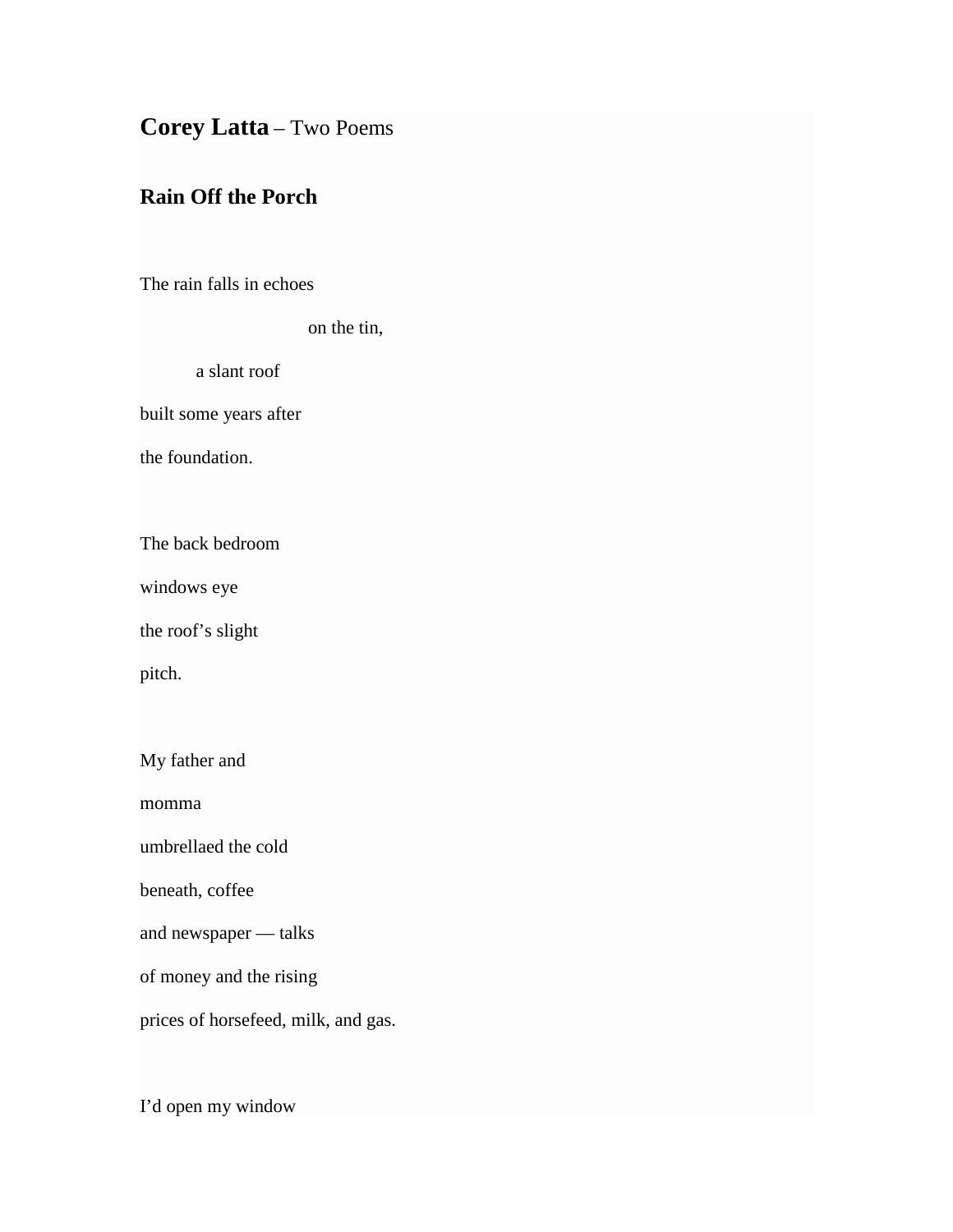**Corey Latta** – Two Poems

## **Rain Off the Porch**

The rain falls in echoes

on the tin,

a slant roof

built some years after

the foundation.

The back bedroom

windows eye

the roof's slight

pitch.

My father and

momma

umbrellaed the cold

beneath, coffee

and newspaper — talks

of money and the rising

prices of horsefeed, milk, and gas.

I'd open my window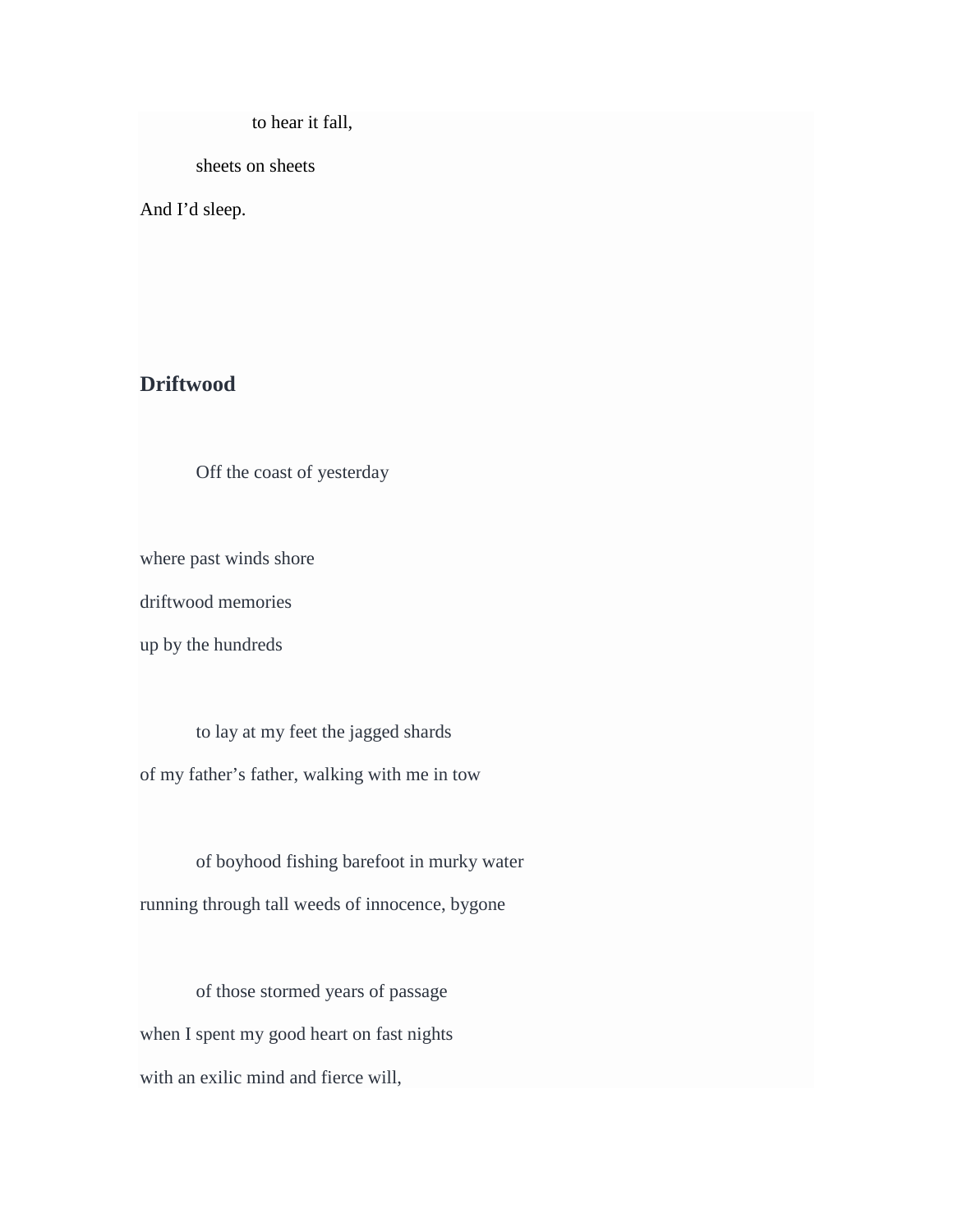to hear it fall,

sheets on sheets

And I'd sleep.

## **Driftwood**

Off the coast of yesterday

where past winds shore

driftwood memories

up by the hundreds

 to lay at my feet the jagged shards of my father's father, walking with me in tow

 of boyhood fishing barefoot in murky water running through tall weeds of innocence, bygone

 of those stormed years of passage when I spent my good heart on fast nights with an exilic mind and fierce will,